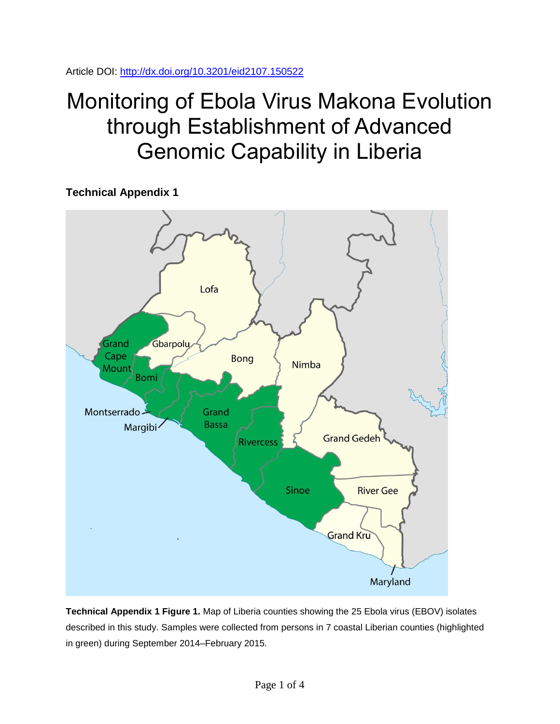Article DOI:<http://dx.doi.org/10.3201/eid2107.150522>

## Monitoring of Ebola Virus Makona Evolution through Establishment of Advanced Genomic Capability in Liberia

**Technical Appendix 1**



**Technical Appendix 1 Figure 1.** Map of Liberia counties showing the 25 Ebola virus (EBOV) isolates described in this study. Samples were collected from persons in 7 coastal Liberian counties (highlighted in green) during September 2014–February 2015.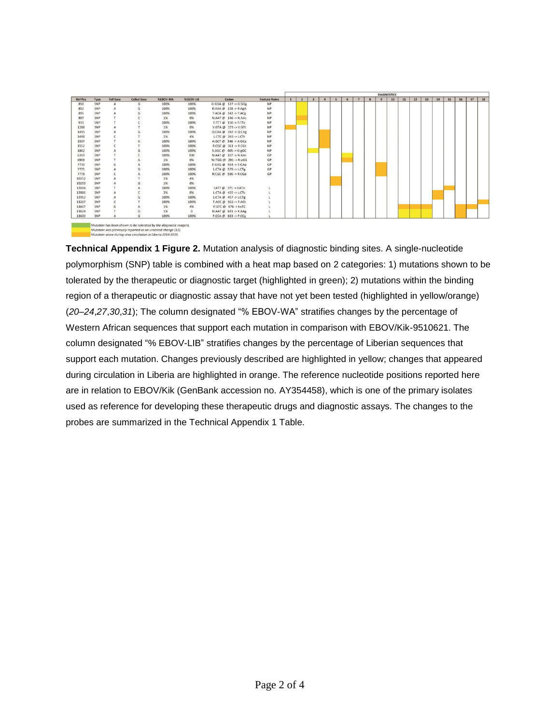|                |      |                 |                    |                 |                 |                                                                    |                     | <b>DIAGNOSTICS</b> |                |   |            |   |   |   |   |   |    |    |    |    |    |    |    |    |    |
|----------------|------|-----------------|--------------------|-----------------|-----------------|--------------------------------------------------------------------|---------------------|--------------------|----------------|---|------------|---|---|---|---|---|----|----|----|----|----|----|----|----|----|
| <b>Ref Pos</b> | Type | <b>Ref Base</b> | <b>Called Base</b> | <b>%EBOV-WA</b> | <b>%EBOV-UB</b> | Codon                                                              | <b>Feature Name</b> | $\mathbf{1}$       | $\overline{2}$ | 3 | $\sqrt{4}$ | 5 | 6 | 7 | 8 | 9 | 10 | 11 | 12 | 13 | 14 | 15 | 16 | 17 | 18 |
| 850            | SNP  |                 | G                  | 100%            | 100%            | $G:GGA \otimes 127 \rightarrow G:GGg$                              | <b>NP</b>           |                    |                |   |            |   |   |   |   |   |    |    |    |    |    |    |    |    |    |
| 852            | SNP  |                 | G                  | 100%            | 100%            | K:AAA $@$ 128 -> R:AgA                                             | <b>NP</b>           |                    |                |   |            |   |   |   |   |   |    |    |    |    |    |    |    |    |    |
| 895            | SNP  |                 | G                  | 100%            | 100%            | T:ACA $\textcircled{a}$ 142 -> T:ACg                               | <b>NP</b>           |                    |                |   |            |   |   |   |   |   |    |    |    |    |    |    |    |    |    |
| 907            | SNP  |                 |                    | 1%              | 0%              | N:AAT @ 146 -> N:AAc                                               | NP                  |                    |                |   |            |   |   |   |   |   |    |    |    |    |    |    |    |    |    |
| 919            | SNP  |                 |                    | 100%            | 100%            | F:TTT @ $150 \rightarrow F$ :TTc                                   | <b>NP</b>           |                    |                |   |            |   |   |   |   |   |    |    |    |    |    |    |    |    |    |
| 1288           | SNP  |                 |                    | 1%              | 0%              | V:GTA @ $273 \rightarrow V$ :GTt                                   | <b>NP</b>           |                    |                |   |            |   |   |   |   |   |    |    |    |    |    |    |    |    |    |
| 1495           | SNP  |                 |                    | 100%            | 100%            | $Q:CAA \otimes 342 \rightarrow Q:CAE$                              | <b>NP</b>           |                    |                |   |            |   |   |   |   |   |    |    |    |    |    |    |    |    |    |
| 1498           | SNP  |                 |                    | 1%              | 4%              | L:CTC @ 343 -> L:CTt                                               | <b>NP</b>           |                    |                |   |            |   |   |   |   |   |    |    |    |    |    |    |    |    |    |
| 1507           | SNP  |                 |                    | 100%            | 100%            | A:GCT @ $346 \rightarrow A$ :GCa                                   | <b>NP</b>           |                    |                |   |            |   |   |   |   |   |    |    |    |    |    |    |    |    |    |
| 1552           | SNP  |                 |                    | 100%            | 100%            | $R: CGC \otimes 361 \rightarrow R: CGt$                            | <b>NP</b>           |                    |                |   |            |   |   |   |   |   |    |    |    |    |    |    |    |    |    |
| 1862           | SNP  |                 |                    | 100%            | 100%            | $S:AGC \otimes 465 \rightarrow G:gGC$                              | <b>NP</b>           |                    |                |   |            |   |   |   |   |   |    |    |    |    |    |    |    |    |    |
| 6359           | SNP  |                 |                    | 100%            | 100             | N:AAT @ 107 -> N:AAc                                               | GP                  |                    |                |   |            |   |   |   |   |   |    |    |    |    |    |    |    |    |    |
| 6909           | SNP  |                 |                    | 1%              | 0%              | W:TGG $\omega$ 291 -> R:aGG                                        | GP                  |                    |                |   |            |   |   |   |   |   |    |    |    |    |    |    |    |    |    |
| 7730           | SNP  | G               |                    | 100%            | 100%            | E:GAG @ 564 -> E:GAa                                               | GP                  |                    |                |   |            |   |   |   |   |   |    |    |    |    |    |    |    |    |    |
| 7775           | SNP  |                 |                    | 100%            | 100%            | L:CTA $\circledcirc$ 579 -> L:CTg                                  | GP                  |                    |                |   |            |   |   |   |   |   |    |    |    |    |    |    |    |    |    |
| 7778           | SNP  |                 |                    | 100%            | 100%            | $R: CGC \otimes S 80 \rightarrow R: CGa$                           | GP                  |                    |                |   |            |   |   |   |   |   |    |    |    |    |    |    |    |    |    |
| 10252          | SNP  |                 |                    | 1%              | 4%              |                                                                    |                     |                    |                |   |            |   |   |   |   |   |    |    |    |    |    |    |    |    |    |
| 10253          | SNP  |                 | G                  | 1%              | 0%              |                                                                    |                     |                    |                |   |            |   |   |   |   |   |    |    |    |    |    |    |    |    |    |
| 12694          | SNP  |                 |                    | 100%            | 100%            | $I:\mathsf{ATT} \circledcirc \quad 371 \rightarrow I:\mathsf{ATa}$ |                     |                    |                |   |            |   |   |   |   |   |    |    |    |    |    |    |    |    |    |
| 12886          | SNP  |                 |                    | 2%              | 0%              | L:CTA @ $435 \rightarrow$ L:CTc                                    |                     |                    |                |   |            |   |   |   |   |   |    |    |    |    |    |    |    |    |    |
| 12952          | SNP  |                 |                    | 100%            | 100%            | L:CTA @ $457 \rightarrow L:CTg$                                    |                     |                    |                |   |            |   |   |   |   |   |    |    |    |    |    |    |    |    |    |
| 13267          | SNP  |                 |                    | 100%            | 100%            | T:ACC @ 562 -> T:ACt                                               |                     |                    |                |   |            |   |   |   |   |   |    |    |    |    |    |    |    |    |    |
| 13607          | SNP  |                 |                    | 1%              | 4%              | V:GTC @ $676 \rightarrow 1:$ aTC                                   |                     |                    |                |   |            |   |   |   |   |   |    |    |    |    |    |    |    |    |    |
| 13624          | SNP  |                 | G                  | 1%              | $\Omega$        | $N:AAT \otimes 681 \rightarrow K:AAR$                              |                     |                    |                |   |            |   |   |   |   |   |    |    |    |    |    |    |    |    |    |
| 13630          | SNP  |                 | G                  | 100%            | 100%            | $P:CCA \otimes 683 \rightarrow P:CCg$                              |                     |                    |                |   |            |   |   |   |   |   |    |    |    |    |    |    |    |    |    |

Mutation has been shown to be tolerated by the diagnostic reagent<br>Mutation was previously reported as an untested change (12).<br>Mutation arose during virus circulation in Liberia 2014-2015.

**Technical Appendix 1 Figure 2.** Mutation analysis of diagnostic binding sites. A single-nucleotide polymorphism (SNP) table is combined with a heat map based on 2 categories: 1) mutations shown to be tolerated by the therapeutic or diagnostic target (highlighted in green); 2) mutations within the binding region of a therapeutic or diagnostic assay that have not yet been tested (highlighted in yellow/orange) (*20*–*24*,*27*,*30*,*31*); The column designated "% EBOV-WA" stratifies changes by the percentage of Western African sequences that support each mutation in comparison with EBOV/Kik-9510621. The column designated "% EBOV-LIB" stratifies changes by the percentage of Liberian sequences that support each mutation. Changes previously described are highlighted in yellow; changes that appeared during circulation in Liberia are highlighted in orange. The reference nucleotide positions reported here are in relation to EBOV/Kik (GenBank accession no. AY354458), which is one of the primary isolates used as reference for developing these therapeutic drugs and diagnostic assays. The changes to the probes are summarized in the Technical Appendix 1 Table.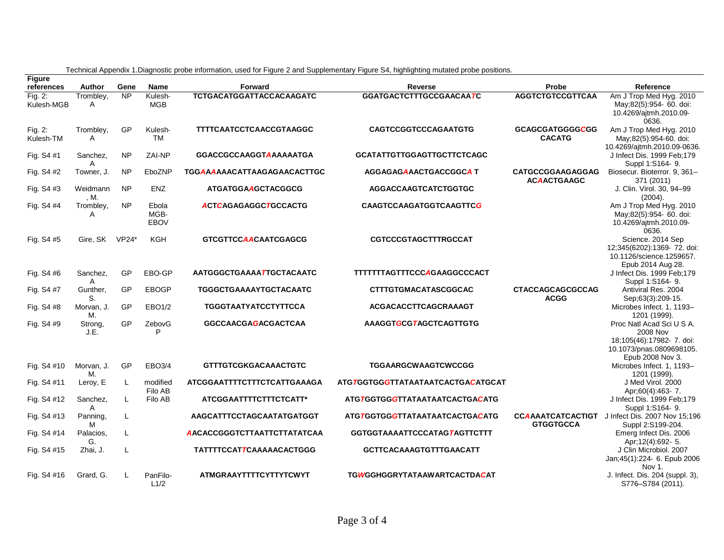| <b>Figure</b><br>references | Author           | Gene            | Name                         | Forward                            | Technical Appendix T.Diagnosiic probe imomialion, used for Figure 2 and Supplementary Figure 34, highlighting mutated probe positions.<br><b>Reverse</b> | Probe                                         | Reference                                                                                                          |
|-----------------------------|------------------|-----------------|------------------------------|------------------------------------|----------------------------------------------------------------------------------------------------------------------------------------------------------|-----------------------------------------------|--------------------------------------------------------------------------------------------------------------------|
| Fig. 2:<br>Kulesh-MGB       | Trombley,<br>A   | $\overline{NP}$ | Kulesh-<br>MGB               | TCTGACATGGATTACCACAAGATC           | GGATGACTCTTTGCCGAACAATC                                                                                                                                  | <b>AGGTCTGTCCGTTCAA</b>                       | Am J Trop Med Hyg. 2010<br>May:82(5):954- 60. doi:<br>10.4269/ajtmh.2010.09-<br>0636.                              |
| Fig. 2:<br>Kulesh-TM        | Trombley,<br>Α   | GP              | Kulesh-<br><b>TM</b>         | <b>TTTTCAATCCTCAACCGTAAGGC</b>     | <b>CAGTCCGGTCCCAGAATGTG</b>                                                                                                                              | <b>GCAGCGATGGGGCGG</b><br><b>CACATG</b>       | Am J Trop Med Hyg. 2010<br>May;82(5):954-60. doi:<br>10.4269/ajtmh.2010.09-0636.                                   |
| Fig. S4 #1                  | Sanchez,<br>A    | <b>NP</b>       | ZAI-NP                       | <b>GGACCGCCAAGGTAAAAAATGA</b>      | <b>GCATATTGTTGGAGTTGCTTCTCAGC</b>                                                                                                                        |                                               | J Infect Dis. 1999 Feb; 179<br>Suppl 1:S164- 9.                                                                    |
| Fig. S4 #2                  | Towner, J.       | <b>NP</b>       | EboZNP                       | <b>TGGAAAAAACATTAAGAGAACACTTGC</b> | AGGAGAGAAACTGACCGGCAT                                                                                                                                    | <b>CATGCCGGAAGAGGAG</b><br><b>ACAACTGAAGC</b> | Biosecur. Bioterror. 9, 361-<br>371 (2011)                                                                         |
| Fig. S4 #3                  | Weidmann<br>, M. | <b>NP</b>       | <b>ENZ</b>                   | <b>ATGATGGAAGCTACGGCG</b>          | <b>AGGACCAAGTCATCTGGTGC</b>                                                                                                                              |                                               | J. Clin. Virol. 30, 94-99<br>(2004).                                                                               |
| Fig. S4 #4                  | Trombley,<br>Α   | <b>NP</b>       | Ebola<br>MGB-<br><b>EBOV</b> | <b>ACTCAGAGAGGCTGCCACTG</b>        | CAAGTCCAAGATGGTCAAGTTCG                                                                                                                                  |                                               | Am J Trop Med Hyg. 2010<br>May;82(5):954- 60. doi:<br>10.4269/aitmh.2010.09-<br>0636.                              |
| Fig. S4 #5                  | Gire, SK         | $VP24*$         | <b>KGH</b>                   | <b>GTCGTTCCAACAATCGAGCG</b>        | <b>CGTCCCGTAGCTTTRGCCAT</b>                                                                                                                              |                                               | Science. 2014 Sep<br>12;345(6202):1369- 72. doi:<br>10.1126/science.1259657.<br>Epub 2014 Aug 28.                  |
| Fig. S4 #6                  | Sanchez,<br>A    | GP              | EBO-GP                       | AATGGGCTGAAAA7TGCTACAATC           | TTTTTTTAGTTTCCCAGAAGGCCCACT                                                                                                                              |                                               | J Infect Dis. 1999 Feb; 179<br>Suppl 1:S164- 9.                                                                    |
| Fig. S4 #7                  | Gunther,<br>S.   | GP              | <b>EBOGP</b>                 | TGGGCTGAAAAYTGCTACAATC             | <b>CTTTGTGMACATASCGGCAC</b>                                                                                                                              | <b>CTACCAGCAGCGCCAG</b><br><b>ACGG</b>        | Antiviral Res. 2004<br>Sep;63(3):209-15.                                                                           |
| Fig. S4 #8                  | Morvan, J.<br>M. | GP              | EBO1/2                       | <b>TGGGTAATYATCCTYTTCCA</b>        | <b>ACGACACCTTCAGCRAAAGT</b>                                                                                                                              |                                               | Microbes Infect. 1, 1193-<br>1201 (1999).                                                                          |
| Fig. S4 #9                  | Strong,<br>J.E.  | GP              | ZebovG<br>P                  | <b>GGCCAACGAGACGACTCAA</b>         | AAAGGTGCGTAGCTCAGTTGTG                                                                                                                                   |                                               | Proc Natl Acad Sci U S A.<br>2008 Nov<br>18:105(46):17982- 7. doi:<br>10.1073/pnas.0809698105.<br>Epub 2008 Nov 3. |
| Fig. S4 #10                 | Morvan, J.<br>M. | GP              | <b>EBO3/4</b>                | <b>GTTTGTCGKGACAAACTGTC</b>        | <b>TGGAARGCWAAGTCWCCGG</b>                                                                                                                               |                                               | Microbes Infect. 1, 1193-<br>1201 (1999).                                                                          |
| Fig. S4 #11                 | Leroy, E         | L               | modified<br>Filo AB          | ATCGGAATTTTCTTTCTCATTGAAAGA        | ATG TGGTGG GTTATAATAATCACTGA CATGCAT                                                                                                                     |                                               | J Med Virol, 2000<br>Apr;60(4):463-7.                                                                              |
| Fig. S4 #12                 | Sanchez,<br>Α    | $\mathsf{L}$    | Filo AB                      | ATCGGAATTTTCTTTCTCATT*             | ATG TGGTGG GTTATAATAATCACTGA CATG                                                                                                                        |                                               | J Infect Dis. 1999 Feb; 179<br>Suppl 1:S164- 9.                                                                    |
| Fig. S4 #13                 | Panning,<br>м    | L               |                              | AAGCATTTCCTAGCAATATGATGGT          | ATG TGGTGG GTTATAATAATCACTGACATG                                                                                                                         | <b>CCAAAATCATCACTIGT</b><br><b>GTGGTGCCA</b>  | J Infect Dis. 2007 Nov 15;196<br>Suppl 2:S199-204.                                                                 |
| Fig. S4 #14                 | Palacios,<br>G.  | L               |                              | <b>AACACCGGGTCTTAATTCTTATATCAA</b> | GGTGGTAAAATTCCCATAGTAGTTCTTT                                                                                                                             |                                               | Emerg Infect Dis. 2006<br>Apr; 12(4): 692- 5.                                                                      |
| Fig. S4 #15                 | Zhai, J.         | L               |                              | TATTTTCCATTCAAAAACACTGGG           | <b>GCTTCACAAAGTGTTTGAACATT</b>                                                                                                                           |                                               | J Clin Microbiol. 2007<br>Jan; 45(1): 224- 6. Epub 2006<br>Nov 1.                                                  |
| Fig. S4 #16                 | Grard, G.        | L               | PanFilo-<br>L1/2             | <b>ATMGRAAYTTTTCYTTYTCWYT</b>      | TGWGGHGGRYTATAAWARTCACTDACAT                                                                                                                             |                                               | J. Infect. Dis. 204 (suppl. 3),<br>S776-S784 (2011).                                                               |

Technical Appendix 1.Diagnostic probe information, used for Figure 2 and Supplementary Figure S4, highlighting mutated probe positions.